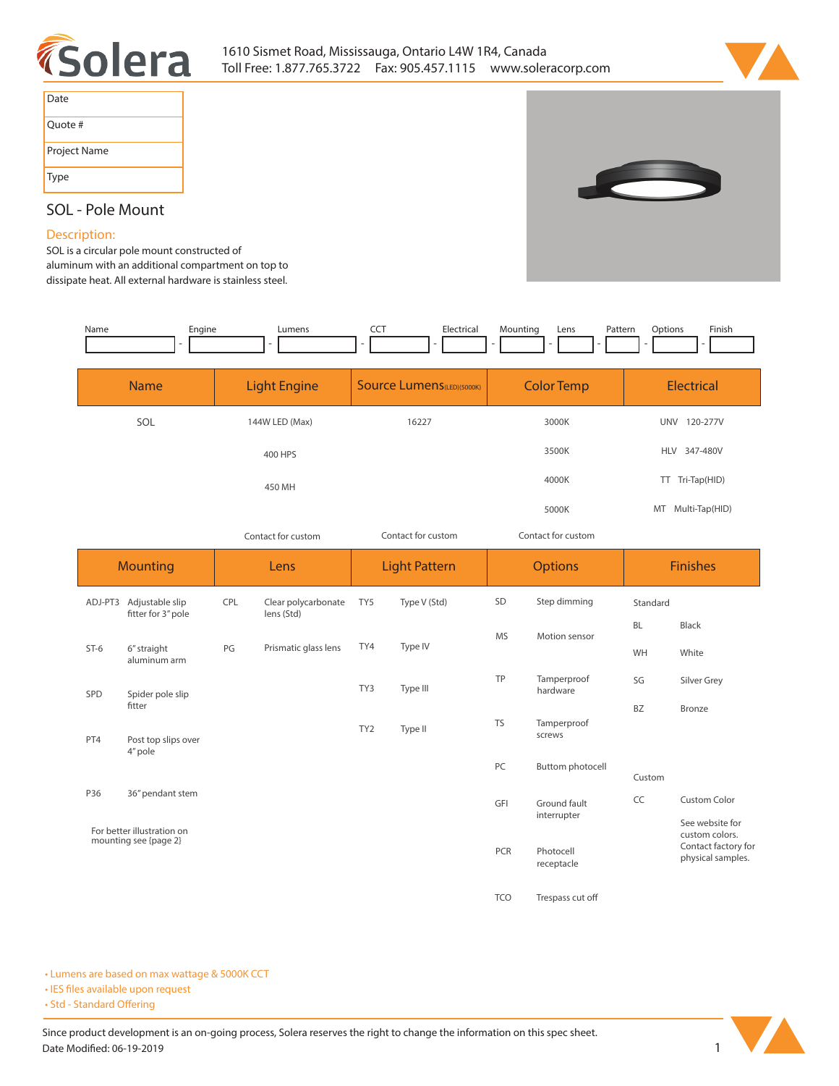



| Date         |
|--------------|
| Quote #      |
| Project Name |
| Type         |



## **SOL - Pole Mount**

## **Description:**

**SOL is a circular pole mount constructed of aluminum with an additional compartment on top to** 

**dissipate heat. All external hardware is stainless steel.** 

| Name                                                | Engine                                        |                     | Lumens                            | <b>CCT</b>                        | Electrical   | Mounting           | Lens<br>Pattern             | Options           | Finish                                                                        |
|-----------------------------------------------------|-----------------------------------------------|---------------------|-----------------------------------|-----------------------------------|--------------|--------------------|-----------------------------|-------------------|-------------------------------------------------------------------------------|
| <b>Name</b>                                         |                                               | <b>Light Engine</b> |                                   | <b>Source Lumens</b> (LED)(5000K) |              | <b>Color Temp</b>  |                             | <b>Electrical</b> |                                                                               |
| SOL                                                 |                                               | 144W LED (Max)      |                                   | 16227                             |              | 3000K              |                             | UNV 120-277V      |                                                                               |
|                                                     |                                               |                     | 400 HPS                           |                                   |              | 3500K              |                             | HLV 347-480V      |                                                                               |
|                                                     |                                               | 450 MH              |                                   |                                   |              | 4000K              |                             | TT Tri-Tap(HID)   |                                                                               |
|                                                     |                                               |                     |                                   |                                   |              | 5000K              |                             | MT Multi-Tap(HID) |                                                                               |
|                                                     |                                               | Contact for custom  |                                   | Contact for custom                |              | Contact for custom |                             |                   |                                                                               |
| <b>Mounting</b>                                     |                                               |                     | Lens                              | <b>Light Pattern</b>              |              | <b>Options</b>     |                             | <b>Finishes</b>   |                                                                               |
|                                                     | ADJ-PT3 Adjustable slip<br>fitter for 3" pole | CPL                 | Clear polycarbonate<br>lens (Std) | TY5                               | Type V (Std) | SD                 | Step dimming                | Standard          |                                                                               |
| $ST-6$                                              | 6" straight<br>aluminum arm                   | PG                  | Prismatic glass lens              | TY4                               | Type IV      | <b>MS</b>          | Motion sensor               | <b>BL</b><br>WH   | <b>Black</b><br>White                                                         |
| SPD                                                 | Spider pole slip                              |                     |                                   | TY3                               | Type III     | TP                 | Tamperproof<br>hardware     | SG                | Silver Grey                                                                   |
| PT4                                                 | fitter<br>Post top slips over                 |                     |                                   | TY <sub>2</sub>                   | Type II      | <b>TS</b>          | Tamperproof<br>screws       | BZ                | <b>Bronze</b>                                                                 |
|                                                     | 4" pole                                       |                     |                                   |                                   |              | PC                 | <b>Buttom photocell</b>     | Custom            |                                                                               |
| P36                                                 | 36" pendant stem                              |                     |                                   |                                   |              | GFI                | Ground fault<br>interrupter | CC                | Custom Color                                                                  |
| For better illustration on<br>mounting see {page 2} |                                               |                     |                                   |                                   |              | PCR                | Photocell<br>receptacle     |                   | See website for<br>custom colors.<br>Contact factory for<br>physical samples. |
|                                                     |                                               |                     |                                   |                                   |              | <b>TCO</b>         | Trespass cut off            |                   |                                                                               |

**• Lumens are based on max wattage & 5000K CCT**

**• IES files available upon request** 

• Std - Standard Offering